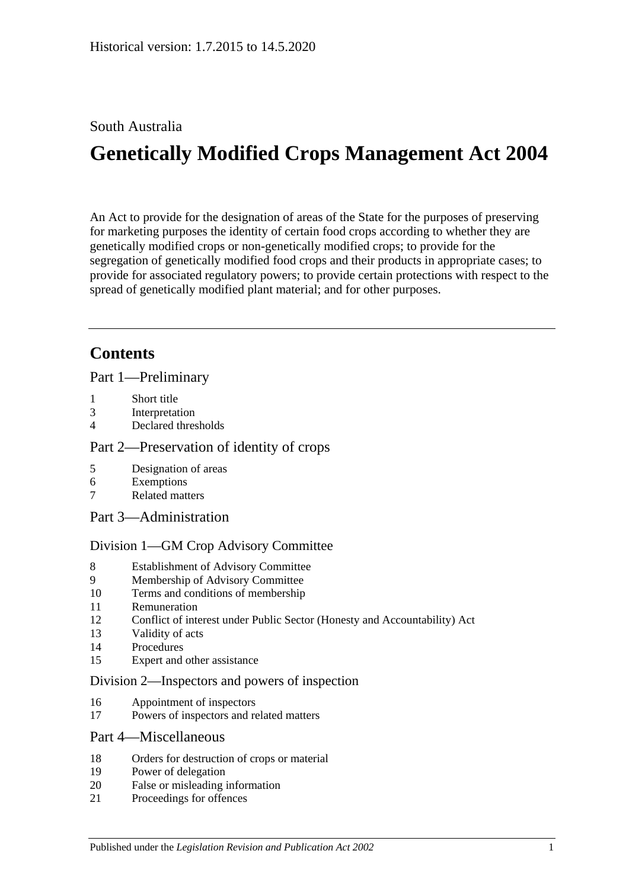# South Australia

# **Genetically Modified Crops Management Act 2004**

An Act to provide for the designation of areas of the State for the purposes of preserving for marketing purposes the identity of certain food crops according to whether they are genetically modified crops or non-genetically modified crops; to provide for the segregation of genetically modified food crops and their products in appropriate cases; to provide for associated regulatory powers; to provide certain protections with respect to the spread of genetically modified plant material; and for other purposes.

# **Contents**

[Part 1—Preliminary](#page-1-0)

- 1 [Short title](#page-1-1)
- 3 [Interpretation](#page-1-2)
- 4 [Declared thresholds](#page-3-0)

### [Part 2—Preservation of identity of crops](#page-3-1)

- 5 [Designation of areas](#page-3-2)
- 6 [Exemptions](#page-5-0)
- 7 [Related matters](#page-6-0)
- [Part 3—Administration](#page-6-1)

### [Division 1—GM Crop Advisory Committee](#page-6-2)

- 8 [Establishment of Advisory Committee](#page-6-3)
- 9 [Membership of Advisory Committee](#page-6-4)
- 10 [Terms and conditions of membership](#page-7-0)
- 11 [Remuneration](#page-7-1)
- 12 [Conflict of interest under Public Sector \(Honesty and Accountability\) Act](#page-7-2)
- 13 [Validity of acts](#page-7-3)
- 14 [Procedures](#page-8-0)
- 15 [Expert and other assistance](#page-8-1)

### [Division 2—Inspectors and powers of inspection](#page-8-2)

- 16 [Appointment of inspectors](#page-8-3)
- 17 [Powers of inspectors and related matters](#page-9-0)

### [Part 4—Miscellaneous](#page-9-1)

- 18 [Orders for destruction of crops or material](#page-9-2)
- 19 [Power of delegation](#page-10-0)
- 20 [False or misleading information](#page-10-1)
- 21 [Proceedings for offences](#page-10-2)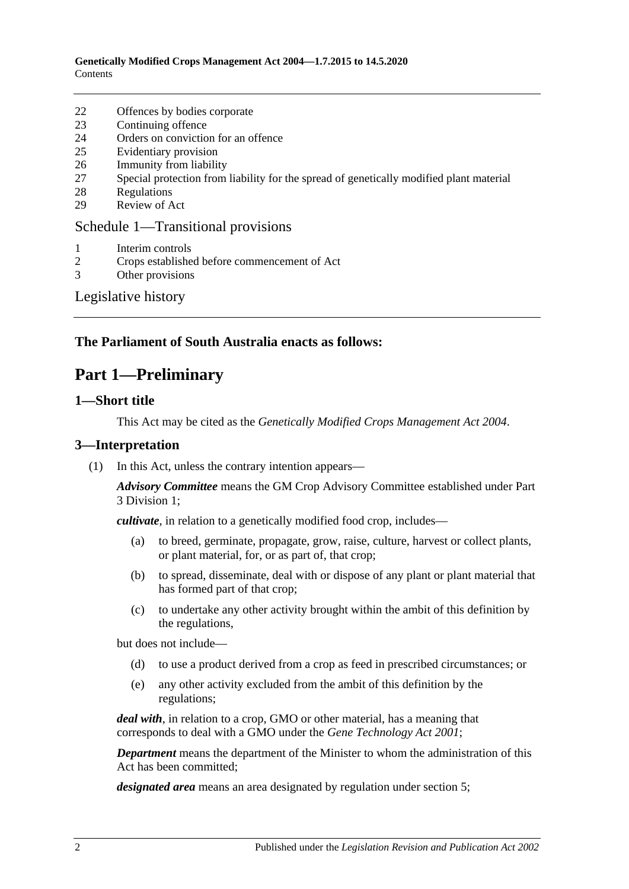- 22 [Offences by bodies corporate](#page-11-0)
- 23 [Continuing offence](#page-11-1)
- 24 [Orders on conviction for an offence](#page-11-2)
- 25 [Evidentiary provision](#page-12-0)
- 26 [Immunity from liability](#page-12-1)
- 27 [Special protection from liability for the spread of genetically modified plant material](#page-13-0)
- 28 [Regulations](#page-13-1)
- 29 [Review of Act](#page-14-0)

### [Schedule 1—Transitional provisions](#page-14-1)

- 1 [Interim controls](#page-14-2)
- 2 [Crops established before commencement of Act](#page-15-0)
- 3 [Other provisions](#page-15-1)

### [Legislative history](#page-16-0)

### <span id="page-1-0"></span>**The Parliament of South Australia enacts as follows:**

# **Part 1—Preliminary**

### <span id="page-1-1"></span>**1—Short title**

This Act may be cited as the *Genetically Modified Crops Management Act 2004*.

### <span id="page-1-2"></span>**3—Interpretation**

(1) In this Act, unless the contrary intention appears—

*Advisory Committee* means the GM Crop Advisory Committee established under [Part](#page-6-2)  [3 Division 1;](#page-6-2)

*cultivate*, in relation to a genetically modified food crop, includes—

- (a) to breed, germinate, propagate, grow, raise, culture, harvest or collect plants, or plant material, for, or as part of, that crop;
- (b) to spread, disseminate, deal with or dispose of any plant or plant material that has formed part of that crop;
- (c) to undertake any other activity brought within the ambit of this definition by the regulations,

but does not include—

- (d) to use a product derived from a crop as feed in prescribed circumstances; or
- (e) any other activity excluded from the ambit of this definition by the regulations;

*deal with*, in relation to a crop, GMO or other material, has a meaning that corresponds to deal with a GMO under the *[Gene Technology Act](http://www.legislation.sa.gov.au/index.aspx?action=legref&type=act&legtitle=Gene%20Technology%20Act%202001) 2001*;

*Department* means the department of the Minister to whom the administration of this Act has been committed;

*designated area* means an area designated by regulation under [section](#page-3-2) 5;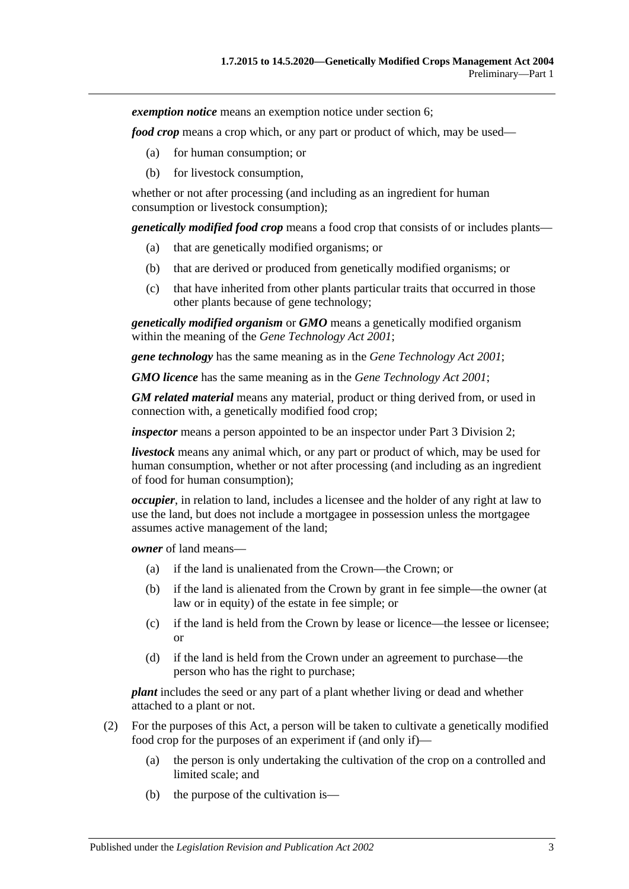*exemption notice* means an exemption notice under [section](#page-5-0) 6;

*food crop* means a crop which, or any part or product of which, may be used—

- (a) for human consumption; or
- (b) for livestock consumption,

whether or not after processing (and including as an ingredient for human consumption or livestock consumption);

*genetically modified food crop* means a food crop that consists of or includes plants—

- (a) that are genetically modified organisms; or
- (b) that are derived or produced from genetically modified organisms; or
- (c) that have inherited from other plants particular traits that occurred in those other plants because of gene technology;

*genetically modified organism* or *GMO* means a genetically modified organism within the meaning of the *[Gene Technology Act](http://www.legislation.sa.gov.au/index.aspx?action=legref&type=act&legtitle=Gene%20Technology%20Act%202001) 2001*;

*gene technology* has the same meaning as in the *[Gene Technology Act](http://www.legislation.sa.gov.au/index.aspx?action=legref&type=act&legtitle=Gene%20Technology%20Act%202001) 2001*;

*GMO licence* has the same meaning as in the *[Gene Technology Act](http://www.legislation.sa.gov.au/index.aspx?action=legref&type=act&legtitle=Gene%20Technology%20Act%202001) 2001*;

*GM related material* means any material, product or thing derived from, or used in connection with, a genetically modified food crop;

*inspector* means a person appointed to be an inspector under [Part 3 Division 2;](#page-8-2)

*livestock* means any animal which, or any part or product of which, may be used for human consumption, whether or not after processing (and including as an ingredient of food for human consumption);

*occupier*, in relation to land, includes a licensee and the holder of any right at law to use the land, but does not include a mortgagee in possession unless the mortgagee assumes active management of the land;

*owner* of land means—

- (a) if the land is unalienated from the Crown—the Crown; or
- (b) if the land is alienated from the Crown by grant in fee simple—the owner (at law or in equity) of the estate in fee simple; or
- (c) if the land is held from the Crown by lease or licence—the lessee or licensee; or
- (d) if the land is held from the Crown under an agreement to purchase—the person who has the right to purchase;

*plant* includes the seed or any part of a plant whether living or dead and whether attached to a plant or not.

- (2) For the purposes of this Act, a person will be taken to cultivate a genetically modified food crop for the purposes of an experiment if (and only if)—
	- (a) the person is only undertaking the cultivation of the crop on a controlled and limited scale; and
	- (b) the purpose of the cultivation is—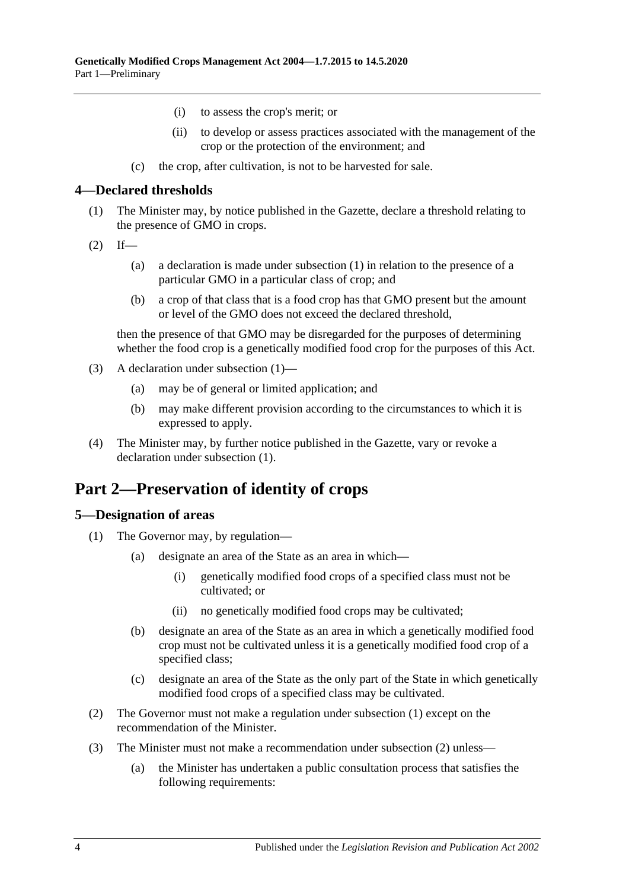- (i) to assess the crop's merit; or
- (ii) to develop or assess practices associated with the management of the crop or the protection of the environment; and
- (c) the crop, after cultivation, is not to be harvested for sale.

### <span id="page-3-3"></span><span id="page-3-0"></span>**4—Declared thresholds**

- (1) The Minister may, by notice published in the Gazette, declare a threshold relating to the presence of GMO in crops.
- $(2)$  If—
	- (a) a declaration is made under subsection (1) in relation to the presence of a particular GMO in a particular class of crop; and
	- (b) a crop of that class that is a food crop has that GMO present but the amount or level of the GMO does not exceed the declared threshold,

then the presence of that GMO may be disregarded for the purposes of determining whether the food crop is a genetically modified food crop for the purposes of this Act.

- (3) A declaration under [subsection](#page-3-3) (1)—
	- (a) may be of general or limited application; and
	- (b) may make different provision according to the circumstances to which it is expressed to apply.
- (4) The Minister may, by further notice published in the Gazette, vary or revoke a declaration under [subsection](#page-3-3) (1).

# <span id="page-3-1"></span>**Part 2—Preservation of identity of crops**

### <span id="page-3-4"></span><span id="page-3-2"></span>**5—Designation of areas**

- <span id="page-3-6"></span>(1) The Governor may, by regulation—
	- (a) designate an area of the State as an area in which—
		- (i) genetically modified food crops of a specified class must not be cultivated; or
		- (ii) no genetically modified food crops may be cultivated;
	- (b) designate an area of the State as an area in which a genetically modified food crop must not be cultivated unless it is a genetically modified food crop of a specified class;
	- (c) designate an area of the State as the only part of the State in which genetically modified food crops of a specified class may be cultivated.
- <span id="page-3-7"></span><span id="page-3-5"></span>(2) The Governor must not make a regulation under [subsection](#page-3-4) (1) except on the recommendation of the Minister.
- <span id="page-3-8"></span>(3) The Minister must not make a recommendation under [subsection](#page-3-5) (2) unless—
	- (a) the Minister has undertaken a public consultation process that satisfies the following requirements: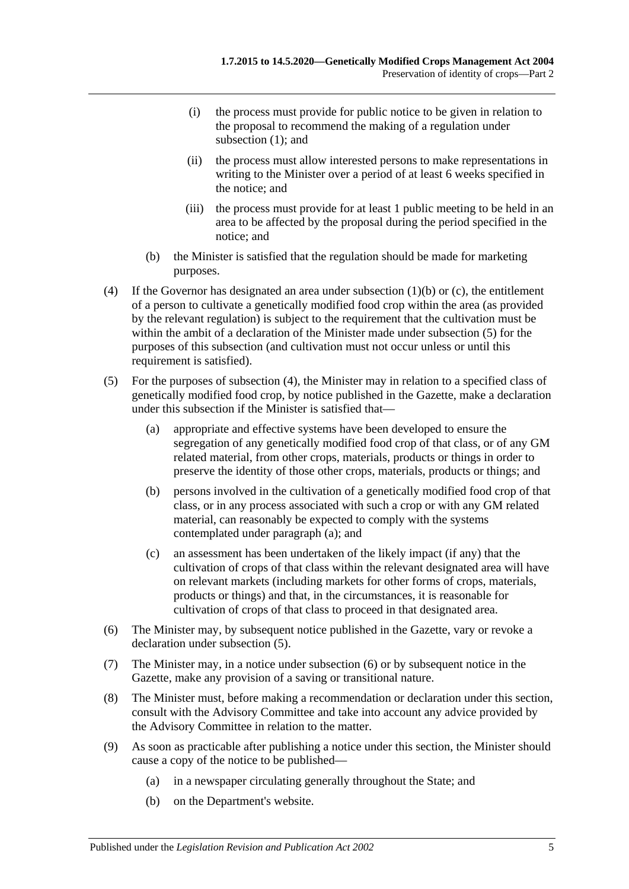- (i) the process must provide for public notice to be given in relation to the proposal to recommend the making of a regulation under [subsection](#page-3-4) (1); and
- (ii) the process must allow interested persons to make representations in writing to the Minister over a period of at least 6 weeks specified in the notice; and
- (iii) the process must provide for at least 1 public meeting to be held in an area to be affected by the proposal during the period specified in the notice; and
- (b) the Minister is satisfied that the regulation should be made for marketing purposes.
- <span id="page-4-1"></span>(4) If the Governor has designated an area under [subsection](#page-3-6) (1)(b) or [\(c\),](#page-3-7) the entitlement of a person to cultivate a genetically modified food crop within the area (as provided by the relevant regulation) is subject to the requirement that the cultivation must be within the ambit of a declaration of the Minister made under [subsection](#page-4-0) (5) for the purposes of this subsection (and cultivation must not occur unless or until this requirement is satisfied).
- <span id="page-4-2"></span><span id="page-4-0"></span>(5) For the purposes of [subsection](#page-4-1) (4), the Minister may in relation to a specified class of genetically modified food crop, by notice published in the Gazette, make a declaration under this subsection if the Minister is satisfied that—
	- (a) appropriate and effective systems have been developed to ensure the segregation of any genetically modified food crop of that class, or of any GM related material, from other crops, materials, products or things in order to preserve the identity of those other crops, materials, products or things; and
	- (b) persons involved in the cultivation of a genetically modified food crop of that class, or in any process associated with such a crop or with any GM related material, can reasonably be expected to comply with the systems contemplated under [paragraph](#page-4-2) (a); and
	- (c) an assessment has been undertaken of the likely impact (if any) that the cultivation of crops of that class within the relevant designated area will have on relevant markets (including markets for other forms of crops, materials, products or things) and that, in the circumstances, it is reasonable for cultivation of crops of that class to proceed in that designated area.
- <span id="page-4-3"></span>(6) The Minister may, by subsequent notice published in the Gazette, vary or revoke a declaration under [subsection](#page-4-0) (5).
- (7) The Minister may, in a notice under [subsection](#page-4-3) (6) or by subsequent notice in the Gazette, make any provision of a saving or transitional nature.
- (8) The Minister must, before making a recommendation or declaration under this section, consult with the Advisory Committee and take into account any advice provided by the Advisory Committee in relation to the matter.
- (9) As soon as practicable after publishing a notice under this section, the Minister should cause a copy of the notice to be published—
	- (a) in a newspaper circulating generally throughout the State; and
	- (b) on the Department's website.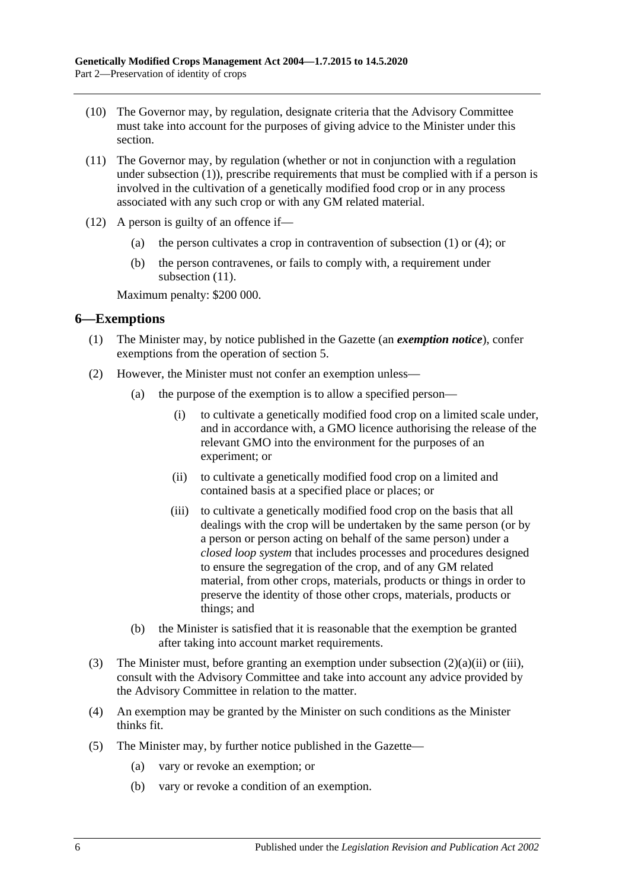- (10) The Governor may, by regulation, designate criteria that the Advisory Committee must take into account for the purposes of giving advice to the Minister under this section.
- <span id="page-5-1"></span>(11) The Governor may, by regulation (whether or not in conjunction with a regulation under [subsection](#page-3-4) (1)), prescribe requirements that must be complied with if a person is involved in the cultivation of a genetically modified food crop or in any process associated with any such crop or with any GM related material.
- (12) A person is guilty of an offence if—
	- (a) the person cultivates a crop in contravention of [subsection](#page-3-4) (1) or [\(4\);](#page-4-1) or
	- (b) the person contravenes, or fails to comply with, a requirement under [subsection](#page-5-1)  $(11)$ .

Maximum penalty: \$200 000.

### <span id="page-5-0"></span>**6—Exemptions**

- (1) The Minister may, by notice published in the Gazette (an *exemption notice*), confer exemptions from the operation of [section](#page-3-2) 5.
- <span id="page-5-3"></span><span id="page-5-2"></span>(2) However, the Minister must not confer an exemption unless—
	- (a) the purpose of the exemption is to allow a specified person—
		- (i) to cultivate a genetically modified food crop on a limited scale under, and in accordance with, a GMO licence authorising the release of the relevant GMO into the environment for the purposes of an experiment; or
		- (ii) to cultivate a genetically modified food crop on a limited and contained basis at a specified place or places; or
		- (iii) to cultivate a genetically modified food crop on the basis that all dealings with the crop will be undertaken by the same person (or by a person or person acting on behalf of the same person) under a *closed loop system* that includes processes and procedures designed to ensure the segregation of the crop, and of any GM related material, from other crops, materials, products or things in order to preserve the identity of those other crops, materials, products or things; and
	- (b) the Minister is satisfied that it is reasonable that the exemption be granted after taking into account market requirements.
- (3) The Minister must, before granting an exemption under [subsection](#page-5-2) (2)(a)(ii) or [\(iii\),](#page-5-3) consult with the Advisory Committee and take into account any advice provided by the Advisory Committee in relation to the matter.
- (4) An exemption may be granted by the Minister on such conditions as the Minister thinks fit.
- (5) The Minister may, by further notice published in the Gazette—
	- (a) vary or revoke an exemption; or
	- (b) vary or revoke a condition of an exemption.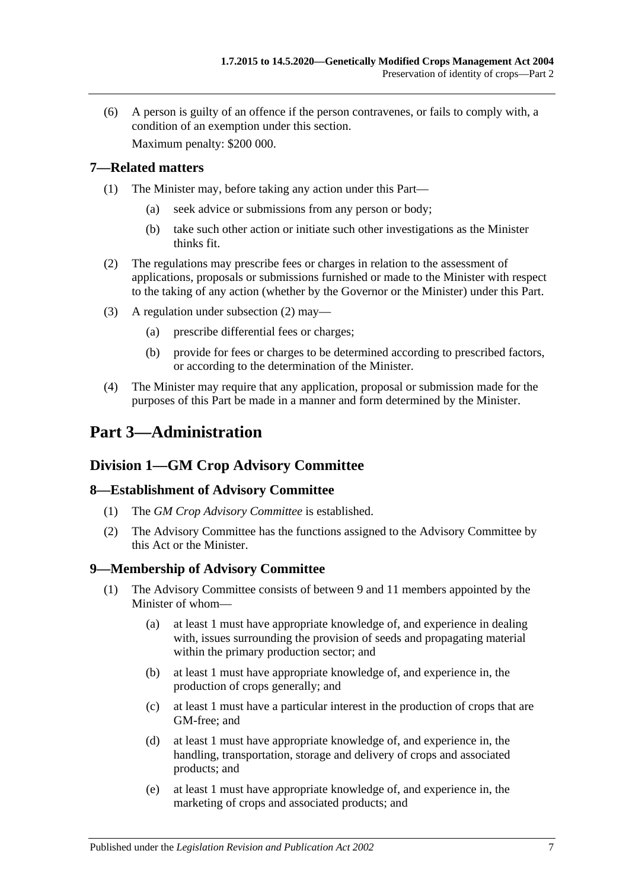(6) A person is guilty of an offence if the person contravenes, or fails to comply with, a condition of an exemption under this section. Maximum penalty: \$200 000.

<span id="page-6-0"></span>**7—Related matters**

- (1) The Minister may, before taking any action under this Part—
	- (a) seek advice or submissions from any person or body;
	- (b) take such other action or initiate such other investigations as the Minister thinks fit.
- <span id="page-6-5"></span>(2) The regulations may prescribe fees or charges in relation to the assessment of applications, proposals or submissions furnished or made to the Minister with respect to the taking of any action (whether by the Governor or the Minister) under this Part.
- (3) A regulation under [subsection](#page-6-5) (2) may—
	- (a) prescribe differential fees or charges;
	- (b) provide for fees or charges to be determined according to prescribed factors, or according to the determination of the Minister.
- (4) The Minister may require that any application, proposal or submission made for the purposes of this Part be made in a manner and form determined by the Minister.

# <span id="page-6-1"></span>**Part 3—Administration**

# <span id="page-6-2"></span>**Division 1—GM Crop Advisory Committee**

### <span id="page-6-3"></span>**8—Establishment of Advisory Committee**

- (1) The *GM Crop Advisory Committee* is established.
- (2) The Advisory Committee has the functions assigned to the Advisory Committee by this Act or the Minister.

### <span id="page-6-4"></span>**9—Membership of Advisory Committee**

- (1) The Advisory Committee consists of between 9 and 11 members appointed by the Minister of whom—
	- (a) at least 1 must have appropriate knowledge of, and experience in dealing with, issues surrounding the provision of seeds and propagating material within the primary production sector; and
	- (b) at least 1 must have appropriate knowledge of, and experience in, the production of crops generally; and
	- (c) at least 1 must have a particular interest in the production of crops that are GM-free; and
	- (d) at least 1 must have appropriate knowledge of, and experience in, the handling, transportation, storage and delivery of crops and associated products; and
	- (e) at least 1 must have appropriate knowledge of, and experience in, the marketing of crops and associated products; and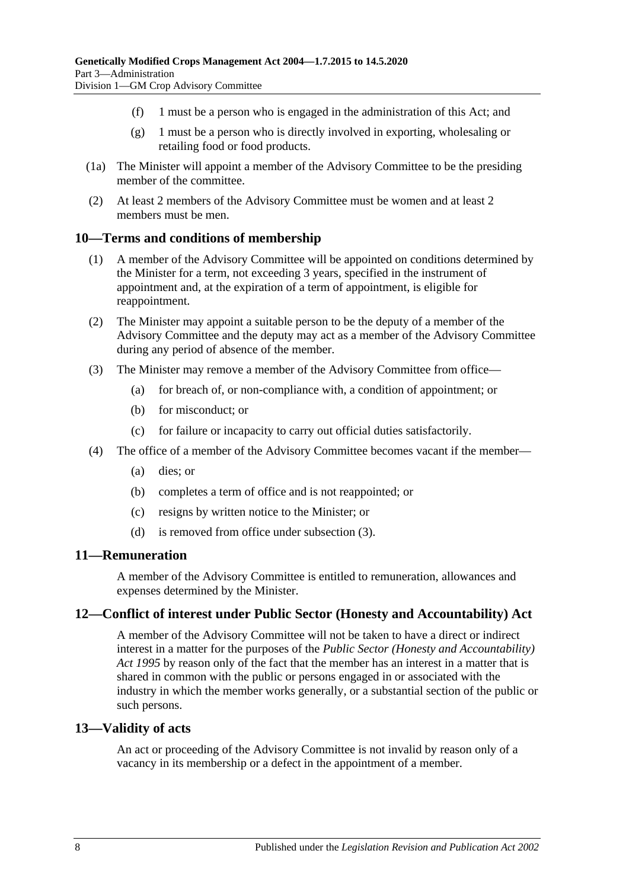- (f) 1 must be a person who is engaged in the administration of this Act; and
- (g) 1 must be a person who is directly involved in exporting, wholesaling or retailing food or food products.
- (1a) The Minister will appoint a member of the Advisory Committee to be the presiding member of the committee.
- (2) At least 2 members of the Advisory Committee must be women and at least 2 members must be men.

#### <span id="page-7-0"></span>**10—Terms and conditions of membership**

- (1) A member of the Advisory Committee will be appointed on conditions determined by the Minister for a term, not exceeding 3 years, specified in the instrument of appointment and, at the expiration of a term of appointment, is eligible for reappointment.
- (2) The Minister may appoint a suitable person to be the deputy of a member of the Advisory Committee and the deputy may act as a member of the Advisory Committee during any period of absence of the member.
- <span id="page-7-4"></span>(3) The Minister may remove a member of the Advisory Committee from office—
	- (a) for breach of, or non-compliance with, a condition of appointment; or
	- (b) for misconduct; or
	- (c) for failure or incapacity to carry out official duties satisfactorily.
- (4) The office of a member of the Advisory Committee becomes vacant if the member—
	- (a) dies; or
	- (b) completes a term of office and is not reappointed; or
	- (c) resigns by written notice to the Minister; or
	- (d) is removed from office under [subsection](#page-7-4) (3).

### <span id="page-7-1"></span>**11—Remuneration**

A member of the Advisory Committee is entitled to remuneration, allowances and expenses determined by the Minister.

#### <span id="page-7-2"></span>**12—Conflict of interest under Public Sector (Honesty and Accountability) Act**

A member of the Advisory Committee will not be taken to have a direct or indirect interest in a matter for the purposes of the *[Public Sector \(Honesty and Accountability\)](http://www.legislation.sa.gov.au/index.aspx?action=legref&type=act&legtitle=Public%20Sector%20(Honesty%20and%20Accountability)%20Act%201995)  Act [1995](http://www.legislation.sa.gov.au/index.aspx?action=legref&type=act&legtitle=Public%20Sector%20(Honesty%20and%20Accountability)%20Act%201995)* by reason only of the fact that the member has an interest in a matter that is shared in common with the public or persons engaged in or associated with the industry in which the member works generally, or a substantial section of the public or such persons.

#### <span id="page-7-3"></span>**13—Validity of acts**

An act or proceeding of the Advisory Committee is not invalid by reason only of a vacancy in its membership or a defect in the appointment of a member.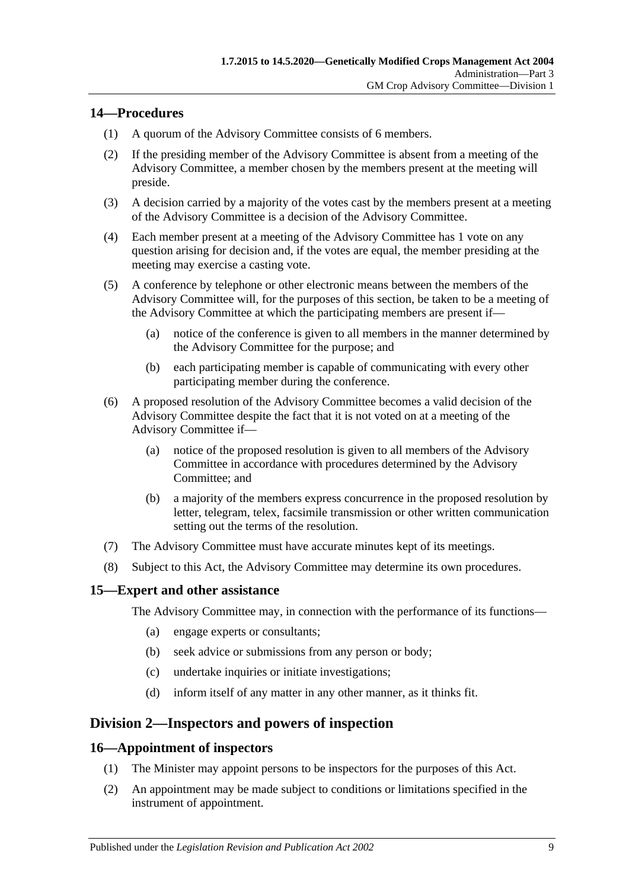### <span id="page-8-0"></span>**14—Procedures**

- (1) A quorum of the Advisory Committee consists of 6 members.
- (2) If the presiding member of the Advisory Committee is absent from a meeting of the Advisory Committee, a member chosen by the members present at the meeting will preside.
- (3) A decision carried by a majority of the votes cast by the members present at a meeting of the Advisory Committee is a decision of the Advisory Committee.
- (4) Each member present at a meeting of the Advisory Committee has 1 vote on any question arising for decision and, if the votes are equal, the member presiding at the meeting may exercise a casting vote.
- (5) A conference by telephone or other electronic means between the members of the Advisory Committee will, for the purposes of this section, be taken to be a meeting of the Advisory Committee at which the participating members are present if—
	- (a) notice of the conference is given to all members in the manner determined by the Advisory Committee for the purpose; and
	- (b) each participating member is capable of communicating with every other participating member during the conference.
- (6) A proposed resolution of the Advisory Committee becomes a valid decision of the Advisory Committee despite the fact that it is not voted on at a meeting of the Advisory Committee if—
	- (a) notice of the proposed resolution is given to all members of the Advisory Committee in accordance with procedures determined by the Advisory Committee; and
	- (b) a majority of the members express concurrence in the proposed resolution by letter, telegram, telex, facsimile transmission or other written communication setting out the terms of the resolution.
- (7) The Advisory Committee must have accurate minutes kept of its meetings.
- (8) Subject to this Act, the Advisory Committee may determine its own procedures.

### <span id="page-8-1"></span>**15—Expert and other assistance**

The Advisory Committee may, in connection with the performance of its functions—

- (a) engage experts or consultants;
- (b) seek advice or submissions from any person or body;
- (c) undertake inquiries or initiate investigations;
- (d) inform itself of any matter in any other manner, as it thinks fit.

# <span id="page-8-2"></span>**Division 2—Inspectors and powers of inspection**

### <span id="page-8-3"></span>**16—Appointment of inspectors**

- (1) The Minister may appoint persons to be inspectors for the purposes of this Act.
- (2) An appointment may be made subject to conditions or limitations specified in the instrument of appointment.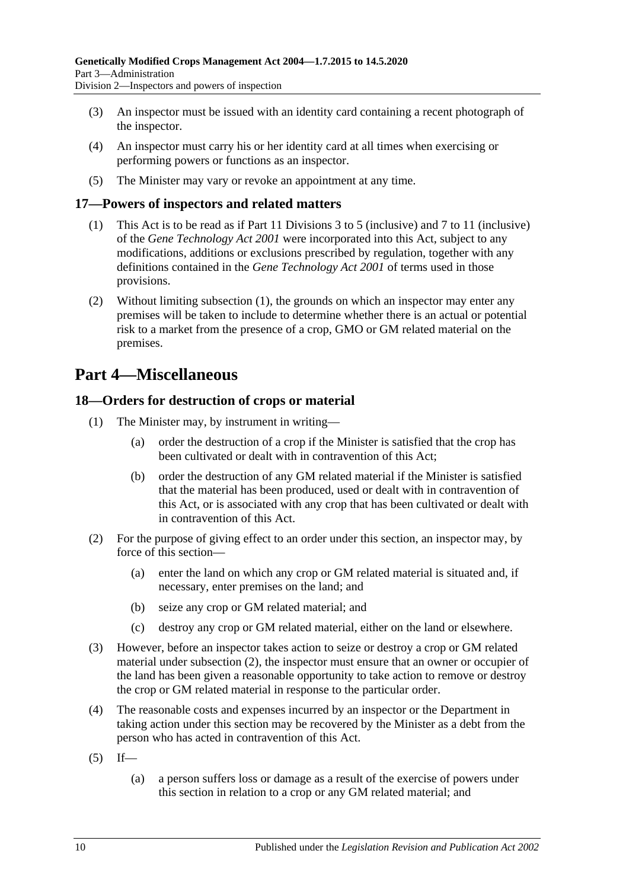- (3) An inspector must be issued with an identity card containing a recent photograph of the inspector.
- (4) An inspector must carry his or her identity card at all times when exercising or performing powers or functions as an inspector.
- (5) The Minister may vary or revoke an appointment at any time.

### <span id="page-9-3"></span><span id="page-9-0"></span>**17—Powers of inspectors and related matters**

- (1) This Act is to be read as if Part 11 Divisions 3 to 5 (inclusive) and 7 to 11 (inclusive) of the *[Gene Technology Act](http://www.legislation.sa.gov.au/index.aspx?action=legref&type=act&legtitle=Gene%20Technology%20Act%202001) 2001* were incorporated into this Act, subject to any modifications, additions or exclusions prescribed by regulation, together with any definitions contained in the *[Gene Technology Act](http://www.legislation.sa.gov.au/index.aspx?action=legref&type=act&legtitle=Gene%20Technology%20Act%202001) 2001* of terms used in those provisions.
- (2) Without limiting [subsection](#page-9-3) (1), the grounds on which an inspector may enter any premises will be taken to include to determine whether there is an actual or potential risk to a market from the presence of a crop, GMO or GM related material on the premises.

# <span id="page-9-1"></span>**Part 4—Miscellaneous**

### <span id="page-9-2"></span>**18—Orders for destruction of crops or material**

- (1) The Minister may, by instrument in writing—
	- (a) order the destruction of a crop if the Minister is satisfied that the crop has been cultivated or dealt with in contravention of this Act;
	- (b) order the destruction of any GM related material if the Minister is satisfied that the material has been produced, used or dealt with in contravention of this Act, or is associated with any crop that has been cultivated or dealt with in contravention of this Act.
- <span id="page-9-4"></span>(2) For the purpose of giving effect to an order under this section, an inspector may, by force of this section—
	- (a) enter the land on which any crop or GM related material is situated and, if necessary, enter premises on the land; and
	- (b) seize any crop or GM related material; and
	- (c) destroy any crop or GM related material, either on the land or elsewhere.
- (3) However, before an inspector takes action to seize or destroy a crop or GM related material under [subsection](#page-9-4) (2), the inspector must ensure that an owner or occupier of the land has been given a reasonable opportunity to take action to remove or destroy the crop or GM related material in response to the particular order.
- (4) The reasonable costs and expenses incurred by an inspector or the Department in taking action under this section may be recovered by the Minister as a debt from the person who has acted in contravention of this Act.
- <span id="page-9-5"></span> $(5)$  If—
	- (a) a person suffers loss or damage as a result of the exercise of powers under this section in relation to a crop or any GM related material; and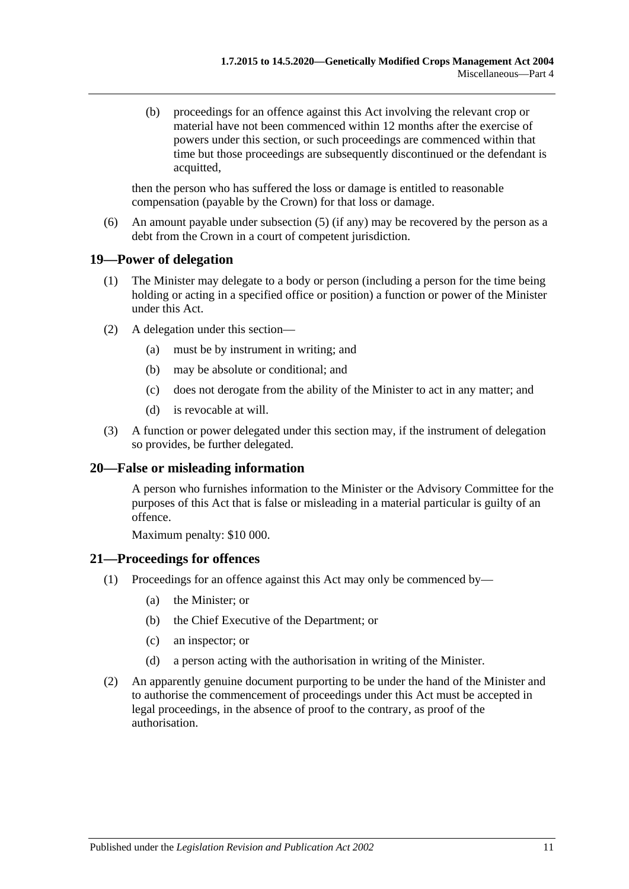(b) proceedings for an offence against this Act involving the relevant crop or material have not been commenced within 12 months after the exercise of powers under this section, or such proceedings are commenced within that time but those proceedings are subsequently discontinued or the defendant is acquitted,

then the person who has suffered the loss or damage is entitled to reasonable compensation (payable by the Crown) for that loss or damage.

(6) An amount payable under [subsection](#page-9-5) (5) (if any) may be recovered by the person as a debt from the Crown in a court of competent jurisdiction.

### <span id="page-10-0"></span>**19—Power of delegation**

- (1) The Minister may delegate to a body or person (including a person for the time being holding or acting in a specified office or position) a function or power of the Minister under this Act.
- (2) A delegation under this section—
	- (a) must be by instrument in writing; and
	- (b) may be absolute or conditional; and
	- (c) does not derogate from the ability of the Minister to act in any matter; and
	- (d) is revocable at will.
- (3) A function or power delegated under this section may, if the instrument of delegation so provides, be further delegated.

### <span id="page-10-1"></span>**20—False or misleading information**

A person who furnishes information to the Minister or the Advisory Committee for the purposes of this Act that is false or misleading in a material particular is guilty of an offence.

Maximum penalty: \$10 000.

### <span id="page-10-2"></span>**21—Proceedings for offences**

- (1) Proceedings for an offence against this Act may only be commenced by—
	- (a) the Minister; or
	- (b) the Chief Executive of the Department; or
	- (c) an inspector; or
	- (d) a person acting with the authorisation in writing of the Minister.
- (2) An apparently genuine document purporting to be under the hand of the Minister and to authorise the commencement of proceedings under this Act must be accepted in legal proceedings, in the absence of proof to the contrary, as proof of the authorisation.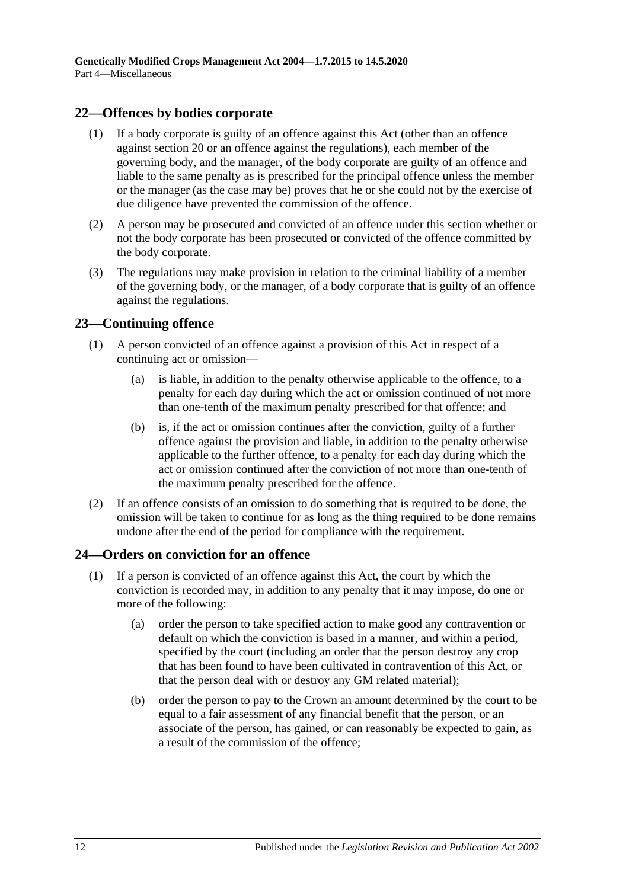### <span id="page-11-0"></span>**22—Offences by bodies corporate**

- (1) If a body corporate is guilty of an offence against this Act (other than an offence against [section](#page-10-1) 20 or an offence against the regulations), each member of the governing body, and the manager, of the body corporate are guilty of an offence and liable to the same penalty as is prescribed for the principal offence unless the member or the manager (as the case may be) proves that he or she could not by the exercise of due diligence have prevented the commission of the offence.
- (2) A person may be prosecuted and convicted of an offence under this section whether or not the body corporate has been prosecuted or convicted of the offence committed by the body corporate.
- (3) The regulations may make provision in relation to the criminal liability of a member of the governing body, or the manager, of a body corporate that is guilty of an offence against the regulations.

### <span id="page-11-1"></span>**23—Continuing offence**

- (1) A person convicted of an offence against a provision of this Act in respect of a continuing act or omission—
	- (a) is liable, in addition to the penalty otherwise applicable to the offence, to a penalty for each day during which the act or omission continued of not more than one-tenth of the maximum penalty prescribed for that offence; and
	- (b) is, if the act or omission continues after the conviction, guilty of a further offence against the provision and liable, in addition to the penalty otherwise applicable to the further offence, to a penalty for each day during which the act or omission continued after the conviction of not more than one-tenth of the maximum penalty prescribed for the offence.
- (2) If an offence consists of an omission to do something that is required to be done, the omission will be taken to continue for as long as the thing required to be done remains undone after the end of the period for compliance with the requirement.

### <span id="page-11-2"></span>**24—Orders on conviction for an offence**

- <span id="page-11-3"></span>(1) If a person is convicted of an offence against this Act, the court by which the conviction is recorded may, in addition to any penalty that it may impose, do one or more of the following:
	- (a) order the person to take specified action to make good any contravention or default on which the conviction is based in a manner, and within a period, specified by the court (including an order that the person destroy any crop that has been found to have been cultivated in contravention of this Act, or that the person deal with or destroy any GM related material);
	- (b) order the person to pay to the Crown an amount determined by the court to be equal to a fair assessment of any financial benefit that the person, or an associate of the person, has gained, or can reasonably be expected to gain, as a result of the commission of the offence;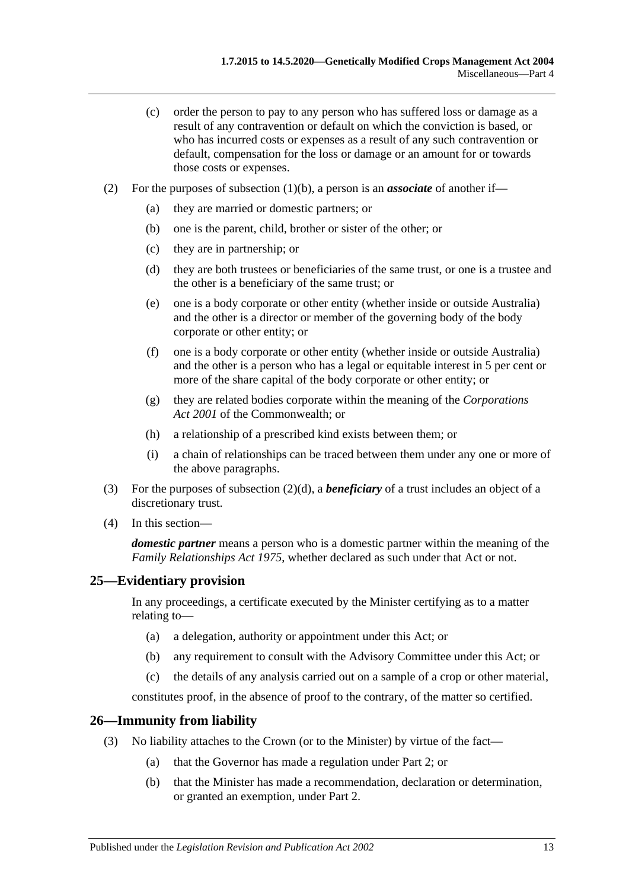- (c) order the person to pay to any person who has suffered loss or damage as a result of any contravention or default on which the conviction is based, or who has incurred costs or expenses as a result of any such contravention or default, compensation for the loss or damage or an amount for or towards those costs or expenses.
- <span id="page-12-2"></span>(2) For the purposes of [subsection](#page-11-3) (1)(b), a person is an *associate* of another if—
	- (a) they are married or domestic partners; or
	- (b) one is the parent, child, brother or sister of the other; or
	- (c) they are in partnership; or
	- (d) they are both trustees or beneficiaries of the same trust, or one is a trustee and the other is a beneficiary of the same trust; or
	- (e) one is a body corporate or other entity (whether inside or outside Australia) and the other is a director or member of the governing body of the body corporate or other entity; or
	- (f) one is a body corporate or other entity (whether inside or outside Australia) and the other is a person who has a legal or equitable interest in 5 per cent or more of the share capital of the body corporate or other entity; or
	- (g) they are related bodies corporate within the meaning of the *Corporations Act 2001* of the Commonwealth; or
	- (h) a relationship of a prescribed kind exists between them; or
	- (i) a chain of relationships can be traced between them under any one or more of the above paragraphs.
- (3) For the purposes of [subsection](#page-12-2) (2)(d), a *beneficiary* of a trust includes an object of a discretionary trust.
- (4) In this section—

*domestic partner* means a person who is a domestic partner within the meaning of the *[Family Relationships Act](http://www.legislation.sa.gov.au/index.aspx?action=legref&type=act&legtitle=Family%20Relationships%20Act%201975) 1975*, whether declared as such under that Act or not.

# <span id="page-12-0"></span>**25—Evidentiary provision**

In any proceedings, a certificate executed by the Minister certifying as to a matter relating to—

- (a) a delegation, authority or appointment under this Act; or
- (b) any requirement to consult with the Advisory Committee under this Act; or
- (c) the details of any analysis carried out on a sample of a crop or other material,

constitutes proof, in the absence of proof to the contrary, of the matter so certified.

### <span id="page-12-1"></span>**26—Immunity from liability**

- (3) No liability attaches to the Crown (or to the Minister) by virtue of the fact—
	- (a) that the Governor has made a regulation under [Part 2;](#page-3-1) or
	- (b) that the Minister has made a recommendation, declaration or determination, or granted an exemption, under [Part 2.](#page-3-1)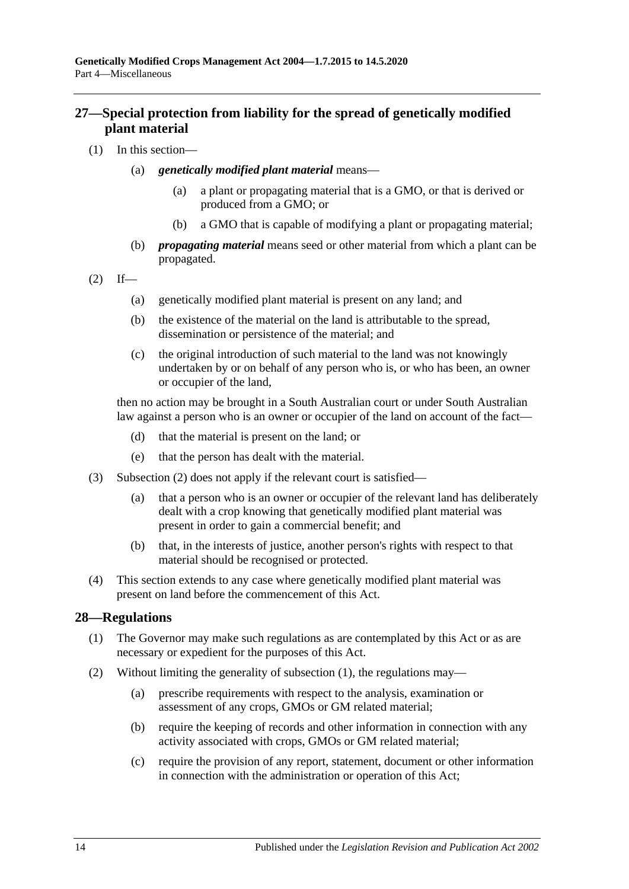## <span id="page-13-0"></span>**27—Special protection from liability for the spread of genetically modified plant material**

- (1) In this section—
	- (a) *genetically modified plant material* means—
		- (a) a plant or propagating material that is a GMO, or that is derived or produced from a GMO; or
		- (b) a GMO that is capable of modifying a plant or propagating material;
	- (b) *propagating material* means seed or other material from which a plant can be propagated.

<span id="page-13-2"></span>
$$
(2) \quad \text{If} \quad -
$$

- (a) genetically modified plant material is present on any land; and
- (b) the existence of the material on the land is attributable to the spread, dissemination or persistence of the material; and
- (c) the original introduction of such material to the land was not knowingly undertaken by or on behalf of any person who is, or who has been, an owner or occupier of the land,

then no action may be brought in a South Australian court or under South Australian law against a person who is an owner or occupier of the land on account of the fact—

- (d) that the material is present on the land; or
- (e) that the person has dealt with the material.
- (3) [Subsection](#page-13-2) (2) does not apply if the relevant court is satisfied—
	- (a) that a person who is an owner or occupier of the relevant land has deliberately dealt with a crop knowing that genetically modified plant material was present in order to gain a commercial benefit; and
	- (b) that, in the interests of justice, another person's rights with respect to that material should be recognised or protected.
- (4) This section extends to any case where genetically modified plant material was present on land before the commencement of this Act.

### <span id="page-13-3"></span><span id="page-13-1"></span>**28—Regulations**

- (1) The Governor may make such regulations as are contemplated by this Act or as are necessary or expedient for the purposes of this Act.
- (2) Without limiting the generality of [subsection](#page-13-3) (1), the regulations may—
	- (a) prescribe requirements with respect to the analysis, examination or assessment of any crops, GMOs or GM related material;
	- (b) require the keeping of records and other information in connection with any activity associated with crops, GMOs or GM related material;
	- (c) require the provision of any report, statement, document or other information in connection with the administration or operation of this Act;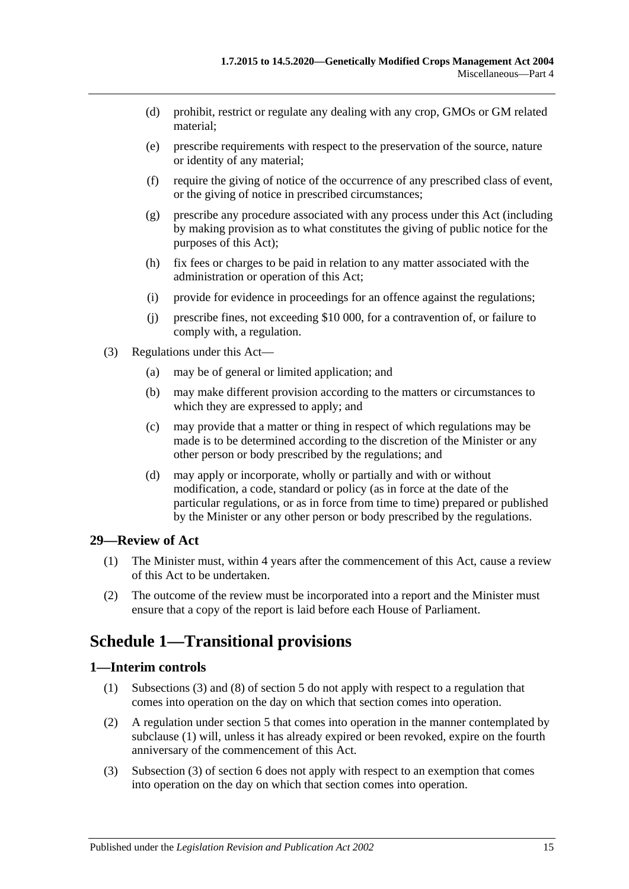- (d) prohibit, restrict or regulate any dealing with any crop, GMOs or GM related material;
- (e) prescribe requirements with respect to the preservation of the source, nature or identity of any material;
- (f) require the giving of notice of the occurrence of any prescribed class of event, or the giving of notice in prescribed circumstances;
- (g) prescribe any procedure associated with any process under this Act (including by making provision as to what constitutes the giving of public notice for the purposes of this Act);
- (h) fix fees or charges to be paid in relation to any matter associated with the administration or operation of this Act;
- (i) provide for evidence in proceedings for an offence against the regulations;
- (j) prescribe fines, not exceeding \$10 000, for a contravention of, or failure to comply with, a regulation.
- (3) Regulations under this Act—
	- (a) may be of general or limited application; and
	- (b) may make different provision according to the matters or circumstances to which they are expressed to apply; and
	- (c) may provide that a matter or thing in respect of which regulations may be made is to be determined according to the discretion of the Minister or any other person or body prescribed by the regulations; and
	- (d) may apply or incorporate, wholly or partially and with or without modification, a code, standard or policy (as in force at the date of the particular regulations, or as in force from time to time) prepared or published by the Minister or any other person or body prescribed by the regulations.

### <span id="page-14-0"></span>**29—Review of Act**

- (1) The Minister must, within 4 years after the commencement of this Act, cause a review of this Act to be undertaken.
- (2) The outcome of the review must be incorporated into a report and the Minister must ensure that a copy of the report is laid before each House of Parliament.

# <span id="page-14-1"></span>**Schedule 1—Transitional provisions**

### <span id="page-14-3"></span><span id="page-14-2"></span>**1—Interim controls**

- (1) [Subsections](#page-3-8) (3) and (8) of [section](#page-3-2) 5 do not apply with respect to a regulation that comes into operation on the day on which that section comes into operation.
- (2) A regulation under [section](#page-3-2) 5 that comes into operation in the manner contemplated by [subclause](#page-14-3) (1) will, unless it has already expired or been revoked, expire on the fourth anniversary of the commencement of this Act.
- (3) Subsection (3) of section 6 does not apply with respect to an exemption that comes into operation on the day on which that section comes into operation.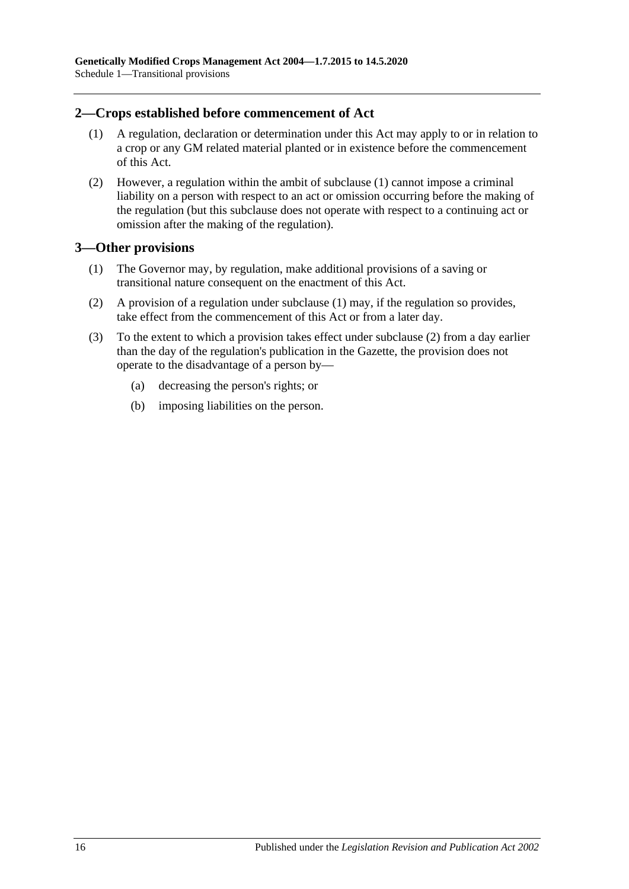### <span id="page-15-2"></span><span id="page-15-0"></span>**2—Crops established before commencement of Act**

- (1) A regulation, declaration or determination under this Act may apply to or in relation to a crop or any GM related material planted or in existence before the commencement of this Act.
- (2) However, a regulation within the ambit of [subclause](#page-15-2) (1) cannot impose a criminal liability on a person with respect to an act or omission occurring before the making of the regulation (but this subclause does not operate with respect to a continuing act or omission after the making of the regulation).

### <span id="page-15-3"></span><span id="page-15-1"></span>**3—Other provisions**

- (1) The Governor may, by regulation, make additional provisions of a saving or transitional nature consequent on the enactment of this Act.
- <span id="page-15-4"></span>(2) A provision of a regulation under [subclause](#page-15-3) (1) may, if the regulation so provides, take effect from the commencement of this Act or from a later day.
- (3) To the extent to which a provision takes effect under [subclause](#page-15-4) (2) from a day earlier than the day of the regulation's publication in the Gazette, the provision does not operate to the disadvantage of a person by—
	- (a) decreasing the person's rights; or
	- (b) imposing liabilities on the person.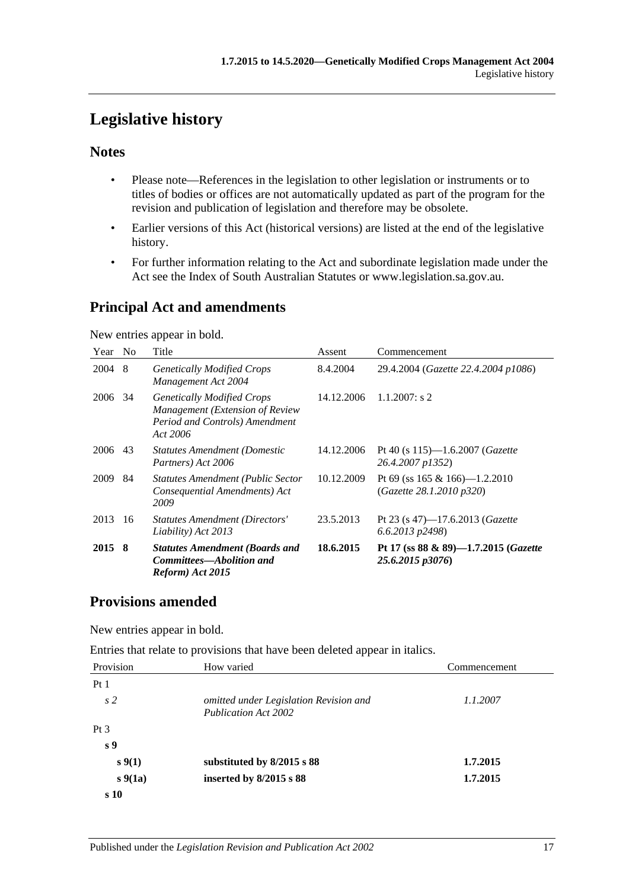# <span id="page-16-0"></span>**Legislative history**

# **Notes**

- Please note—References in the legislation to other legislation or instruments or to titles of bodies or offices are not automatically updated as part of the program for the revision and publication of legislation and therefore may be obsolete.
- Earlier versions of this Act (historical versions) are listed at the end of the legislative history.
- For further information relating to the Act and subordinate legislation made under the Act see the Index of South Australian Statutes or www.legislation.sa.gov.au.

# **Principal Act and amendments**

New entries appear in bold.

| Year No |    | Title                                                                                                              | Assent     | Commencement                                                     |
|---------|----|--------------------------------------------------------------------------------------------------------------------|------------|------------------------------------------------------------------|
| 2004    | -8 | <b>Genetically Modified Crops</b><br>Management Act 2004                                                           | 8.4.2004   | 29.4.2004 (Gazette 22.4.2004 p1086)                              |
| 2006    | 34 | <b>Genetically Modified Crops</b><br>Management (Extension of Review<br>Period and Controls) Amendment<br>Act 2006 | 14.12.2006 | $1.1.2007$ : s 2                                                 |
| 2006    | 43 | <b>Statutes Amendment (Domestic</b><br>Partners) Act 2006                                                          | 14.12.2006 | Pt 40 (s $115$ )—1.6.2007 ( <i>Gazette</i><br>26.4.2007 p1352)   |
| 2009    | 84 | <b>Statutes Amendment (Public Sector</b><br>Consequential Amendments) Act<br>2009                                  | 10.12.2009 | Pt 69 (ss $165 \& 166$ )— $1.2.2010$<br>(Gazette 28.1.2010 p320) |
| 2013    | 16 | Statutes Amendment (Directors'<br>Liability) Act 2013                                                              | 23.5.2013  | Pt 23 (s 47)–17.6.2013 ( <i>Gazette</i><br>6.6.2013 p2498)       |
| 2015 8  |    | <b>Statutes Amendment (Boards and</b><br>Committees—Abolition and<br>Reform) Act 2015                              | 18.6.2015  | Pt 17 (ss $88 \& 89$ )-1.7.2015 (Gazette<br>25.6.2015 p3076)     |

# **Provisions amended**

New entries appear in bold.

Entries that relate to provisions that have been deleted appear in italics.

| Provision       | How varied                                                            | Commencement |
|-----------------|-----------------------------------------------------------------------|--------------|
| Pt1             |                                                                       |              |
| s <sub>2</sub>  | omitted under Legislation Revision and<br><b>Publication Act 2002</b> | 1.1.2007     |
| Pt <sub>3</sub> |                                                                       |              |
| s <sub>9</sub>  |                                                                       |              |
| $s \, 9(1)$     | substituted by 8/2015 s 88                                            | 1.7.2015     |
| $s\,9(1a)$      | inserted by $8/2015$ s $88$                                           | 1.7.2015     |
| s 10            |                                                                       |              |